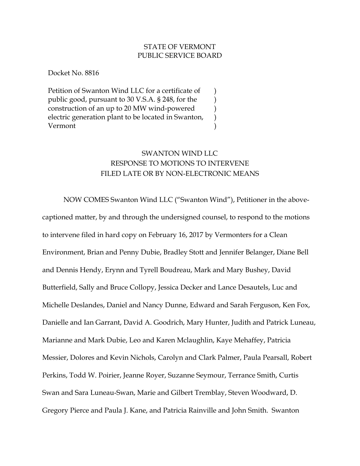## STATE OF VERMONT PUBLIC SERVICE BOARD

) ) ) ) )

Docket No. 8816

Petition of Swanton Wind LLC for a certificate of public good, pursuant to 30 V.S.A. § 248, for the construction of an up to 20 MW wind-powered electric generation plant to be located in Swanton, Vermont

## SWANTON WIND LLC RESPONSE TO MOTIONS TO INTERVENE FILED LATE OR BY NON-ELECTRONIC MEANS

NOW COMES Swanton Wind LLC ("Swanton Wind"), Petitioner in the abovecaptioned matter, by and through the undersigned counsel, to respond to the motions to intervene filed in hard copy on February 16, 2017 by Vermonters for a Clean Environment, Brian and Penny Dubie, Bradley Stott and Jennifer Belanger, Diane Bell and Dennis Hendy, Erynn and Tyrell Boudreau, Mark and Mary Bushey, David Butterfield, Sally and Bruce Collopy, Jessica Decker and Lance Desautels, Luc and Michelle Deslandes, Daniel and Nancy Dunne, Edward and Sarah Ferguson, Ken Fox, Danielle and Ian Garrant, David A. Goodrich, Mary Hunter, Judith and Patrick Luneau, Marianne and Mark Dubie, Leo and Karen Mclaughlin, Kaye Mehaffey, Patricia Messier, Dolores and Kevin Nichols, Carolyn and Clark Palmer, Paula Pearsall, Robert Perkins, Todd W. Poirier, Jeanne Royer, Suzanne Seymour, Terrance Smith, Curtis Swan and Sara Luneau-Swan, Marie and Gilbert Tremblay, Steven Woodward, D. Gregory Pierce and Paula J. Kane, and Patricia Rainville and John Smith. Swanton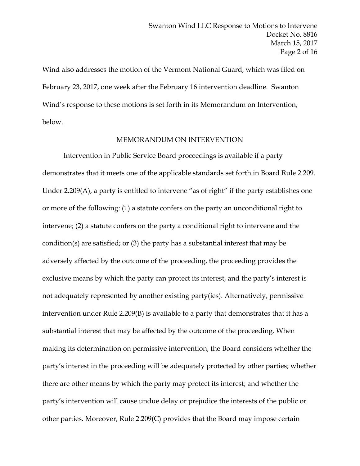Wind also addresses the motion of the Vermont National Guard, which was filed on February 23, 2017, one week after the February 16 intervention deadline. Swanton Wind's response to these motions is set forth in its Memorandum on Intervention, below.

## MEMORANDUM ON INTERVENTION

Intervention in Public Service Board proceedings is available if a party demonstrates that it meets one of the applicable standards set forth in Board Rule 2.209. Under 2.209(A), a party is entitled to intervene "as of right" if the party establishes one or more of the following: (1) a statute confers on the party an unconditional right to intervene; (2) a statute confers on the party a conditional right to intervene and the condition(s) are satisfied; or (3) the party has a substantial interest that may be adversely affected by the outcome of the proceeding, the proceeding provides the exclusive means by which the party can protect its interest, and the party's interest is not adequately represented by another existing party(ies). Alternatively, permissive intervention under Rule 2.209(B) is available to a party that demonstrates that it has a substantial interest that may be affected by the outcome of the proceeding. When making its determination on permissive intervention, the Board considers whether the party's interest in the proceeding will be adequately protected by other parties; whether there are other means by which the party may protect its interest; and whether the party's intervention will cause undue delay or prejudice the interests of the public or other parties. Moreover, Rule 2.209(C) provides that the Board may impose certain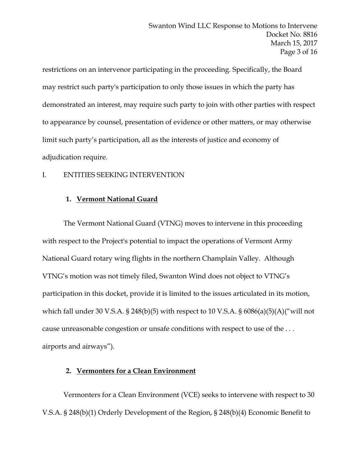restrictions on an intervenor participating in the proceeding. Specifically, the Board may restrict such party's participation to only those issues in which the party has demonstrated an interest, may require such party to join with other parties with respect to appearance by counsel, presentation of evidence or other matters, or may otherwise limit such party's participation, all as the interests of justice and economy of adjudication require.

## I. ENTITIES SEEKING INTERVENTION

## **1. Vermont National Guard**

The Vermont National Guard (VTNG) moves to intervene in this proceeding with respect to the Project's potential to impact the operations of Vermont Army National Guard rotary wing flights in the northern Champlain Valley. Although VTNG's motion was not timely filed, Swanton Wind does not object to VTNG's participation in this docket, provide it is limited to the issues articulated in its motion, which fall under 30 V.S.A. § 248(b)(5) with respect to 10 V.S.A. §  $6086(a)(5)(A)$ ("will not cause unreasonable congestion or unsafe conditions with respect to use of the . . . airports and airways").

## **2. Vermonters for a Clean Environment**

 Vermonters for a Clean Environment (VCE) seeks to intervene with respect to 30 V.S.A. § 248(b)(1) Orderly Development of the Region, § 248(b)(4) Economic Benefit to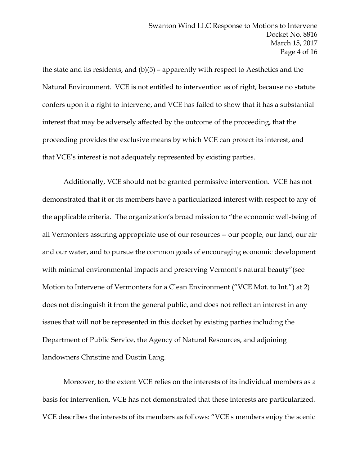the state and its residents, and (b)(5) – apparently with respect to Aesthetics and the Natural Environment. VCE is not entitled to intervention as of right, because no statute confers upon it a right to intervene, and VCE has failed to show that it has a substantial interest that may be adversely affected by the outcome of the proceeding, that the proceeding provides the exclusive means by which VCE can protect its interest, and that VCE's interest is not adequately represented by existing parties.

Additionally, VCE should not be granted permissive intervention. VCE has not demonstrated that it or its members have a particularized interest with respect to any of the applicable criteria. The organization's broad mission to "the economic well-being of all Vermonters assuring appropriate use of our resources -- our people, our land, our air and our water, and to pursue the common goals of encouraging economic development with minimal environmental impacts and preserving Vermont's natural beauty"(see Motion to Intervene of Vermonters for a Clean Environment ("VCE Mot. to Int.") at 2) does not distinguish it from the general public, and does not reflect an interest in any issues that will not be represented in this docket by existing parties including the Department of Public Service, the Agency of Natural Resources, and adjoining landowners Christine and Dustin Lang.

Moreover, to the extent VCE relies on the interests of its individual members as a basis for intervention, VCE has not demonstrated that these interests are particularized. VCE describes the interests of its members as follows: "VCE's members enjoy the scenic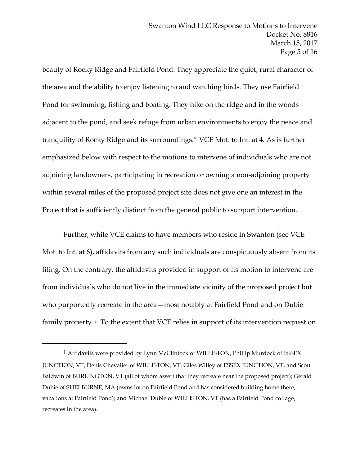beauty of Rocky Ridge and Fairfield Pond. They appreciate the quiet, rural character of the area and the ability to enjoy listening to and watching birds. They use Fairfield Pond for swimming, fishing and boating. They hike on the ridge and in the woods adjacent to the pond, and seek refuge from urban environments to enjoy the peace and tranquility of Rocky Ridge and its surroundings." VCE Mot. to Int. at 4. As is further emphasized below with respect to the motions to intervene of individuals who are not adjoining landowners, participating in recreation or owning a non-adjoining property within several miles of the proposed project site does not give one an interest in the Project that is sufficiently distinct from the general public to support intervention.

Further, while VCE claims to have members who reside in Swanton (see VCE Mot. to Int. at 6), affidavits from any such individuals are conspicuously absent from its filing. On the contrary, the affidavits provided in support of its motion to intervene are from individuals who do not live in the immediate vicinity of the proposed project but who purportedly recreate in the area—most notably at Fairfield Pond and on Dubie family property.<sup>1</sup> To the extent that VCE relies in support of its intervention request on

 $\overline{a}$ 

<sup>1</sup> Affidavits were provided by Lynn McClintock of WILLISTON, Phillip Murdock of ESSEX JUNCTION, VT, Denis Chevalier of WILLISTON, VT, Giles Willey of ESSEX JUNCTION, VT, and Scott Baldwin of BURLINGTON, VT (all of whom assert that they recreate near the proposed project); Gerald Dubie of SHELBURNE, MA (owns lot on Fairfield Pond and has considered building home there, vacations at Fairfield Pond); and Michael Dubie of WILLISTON, VT (has a Fairfield Pond cottage, recreates in the area).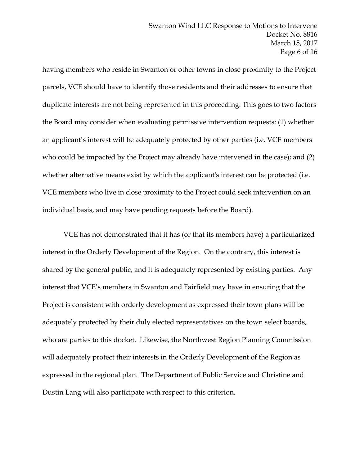having members who reside in Swanton or other towns in close proximity to the Project parcels, VCE should have to identify those residents and their addresses to ensure that duplicate interests are not being represented in this proceeding. This goes to two factors the Board may consider when evaluating permissive intervention requests: (1) whether an applicant's interest will be adequately protected by other parties (i.e. VCE members who could be impacted by the Project may already have intervened in the case); and (2) whether alternative means exist by which the applicant's interest can be protected (i.e. VCE members who live in close proximity to the Project could seek intervention on an individual basis, and may have pending requests before the Board).

VCE has not demonstrated that it has (or that its members have) a particularized interest in the Orderly Development of the Region. On the contrary, this interest is shared by the general public, and it is adequately represented by existing parties. Any interest that VCE's members in Swanton and Fairfield may have in ensuring that the Project is consistent with orderly development as expressed their town plans will be adequately protected by their duly elected representatives on the town select boards, who are parties to this docket. Likewise, the Northwest Region Planning Commission will adequately protect their interests in the Orderly Development of the Region as expressed in the regional plan. The Department of Public Service and Christine and Dustin Lang will also participate with respect to this criterion.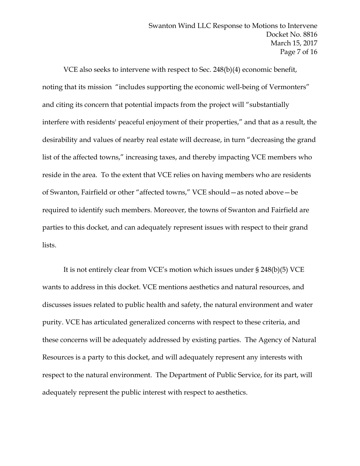VCE also seeks to intervene with respect to Sec. 248(b)(4) economic benefit, noting that its mission "includes supporting the economic well-being of Vermonters" and citing its concern that potential impacts from the project will "substantially interfere with residents' peaceful enjoyment of their properties," and that as a result, the desirability and values of nearby real estate will decrease, in turn "decreasing the grand list of the affected towns," increasing taxes, and thereby impacting VCE members who reside in the area. To the extent that VCE relies on having members who are residents of Swanton, Fairfield or other "affected towns," VCE should—as noted above—be required to identify such members. Moreover, the towns of Swanton and Fairfield are parties to this docket, and can adequately represent issues with respect to their grand lists.

It is not entirely clear from VCE's motion which issues under § 248(b)(5) VCE wants to address in this docket. VCE mentions aesthetics and natural resources, and discusses issues related to public health and safety, the natural environment and water purity. VCE has articulated generalized concerns with respect to these criteria, and these concerns will be adequately addressed by existing parties. The Agency of Natural Resources is a party to this docket, and will adequately represent any interests with respect to the natural environment. The Department of Public Service, for its part, will adequately represent the public interest with respect to aesthetics.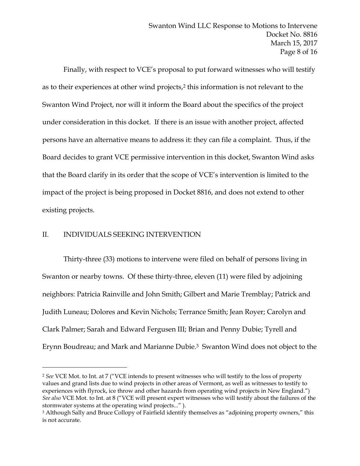Finally, with respect to VCE's proposal to put forward witnesses who will testify as to their experiences at other wind projects,<sup>2</sup> this information is not relevant to the Swanton Wind Project, nor will it inform the Board about the specifics of the project under consideration in this docket. If there is an issue with another project, affected persons have an alternative means to address it: they can file a complaint. Thus, if the Board decides to grant VCE permissive intervention in this docket, Swanton Wind asks that the Board clarify in its order that the scope of VCE's intervention is limited to the impact of the project is being proposed in Docket 8816, and does not extend to other existing projects.

## II. INDIVIDUALS SEEKING INTERVENTION

 $\overline{a}$ 

Thirty-three (33) motions to intervene were filed on behalf of persons living in Swanton or nearby towns. Of these thirty-three, eleven (11) were filed by adjoining neighbors: Patricia Rainville and John Smith; Gilbert and Marie Tremblay; Patrick and Judith Luneau; Dolores and Kevin Nichols; Terrance Smith; Jean Royer; Carolyn and Clark Palmer; Sarah and Edward Fergusen III; Brian and Penny Dubie; Tyrell and Erynn Boudreau; and Mark and Marianne Dubie.3 Swanton Wind does not object to the

<sup>2</sup> *See* VCE Mot. to Int. at 7 ("VCE intends to present witnesses who will testify to the loss of property values and grand lists due to wind projects in other areas of Vermont, as well as witnesses to testify to experiences with flyrock, ice throw and other hazards from operating wind projects in New England.") *See also* VCE Mot. to Int. at 8 ("VCE will present expert witnesses who will testify about the failures of the stormwater systems at the operating wind projects..." ).

<sup>&</sup>lt;sup>3</sup> Although Sally and Bruce Collopy of Fairfield identify themselves as "adjoining property owners," this is not accurate.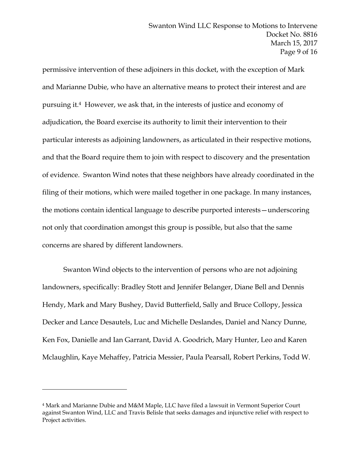permissive intervention of these adjoiners in this docket, with the exception of Mark and Marianne Dubie, who have an alternative means to protect their interest and are pursuing it.4 However, we ask that, in the interests of justice and economy of adjudication, the Board exercise its authority to limit their intervention to their particular interests as adjoining landowners, as articulated in their respective motions, and that the Board require them to join with respect to discovery and the presentation of evidence. Swanton Wind notes that these neighbors have already coordinated in the filing of their motions, which were mailed together in one package. In many instances, the motions contain identical language to describe purported interests—underscoring not only that coordination amongst this group is possible, but also that the same concerns are shared by different landowners.

Swanton Wind objects to the intervention of persons who are not adjoining landowners, specifically: Bradley Stott and Jennifer Belanger, Diane Bell and Dennis Hendy, Mark and Mary Bushey, David Butterfield, Sally and Bruce Collopy, Jessica Decker and Lance Desautels, Luc and Michelle Deslandes, Daniel and Nancy Dunne, Ken Fox, Danielle and Ian Garrant, David A. Goodrich, Mary Hunter, Leo and Karen Mclaughlin, Kaye Mehaffey, Patricia Messier, Paula Pearsall, Robert Perkins, Todd W.

 $\overline{a}$ 

<sup>4</sup> Mark and Marianne Dubie and M&M Maple, LLC have filed a lawsuit in Vermont Superior Court against Swanton Wind, LLC and Travis Belisle that seeks damages and injunctive relief with respect to Project activities.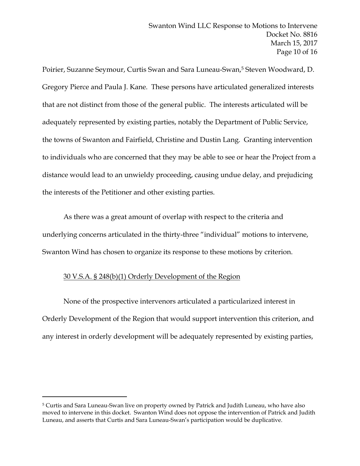Poirier, Suzanne Seymour, Curtis Swan and Sara Luneau-Swan,5 Steven Woodward, D. Gregory Pierce and Paula J. Kane. These persons have articulated generalized interests that are not distinct from those of the general public. The interests articulated will be adequately represented by existing parties, notably the Department of Public Service, the towns of Swanton and Fairfield, Christine and Dustin Lang. Granting intervention to individuals who are concerned that they may be able to see or hear the Project from a distance would lead to an unwieldy proceeding, causing undue delay, and prejudicing the interests of the Petitioner and other existing parties.

As there was a great amount of overlap with respect to the criteria and underlying concerns articulated in the thirty-three "individual" motions to intervene, Swanton Wind has chosen to organize its response to these motions by criterion.

## 30 V.S.A. § 248(b)(1) Orderly Development of the Region

 $\overline{a}$ 

None of the prospective intervenors articulated a particularized interest in Orderly Development of the Region that would support intervention this criterion, and any interest in orderly development will be adequately represented by existing parties,

<sup>5</sup> Curtis and Sara Luneau-Swan live on property owned by Patrick and Judith Luneau, who have also moved to intervene in this docket. Swanton Wind does not oppose the intervention of Patrick and Judith Luneau, and asserts that Curtis and Sara Luneau-Swan's participation would be duplicative.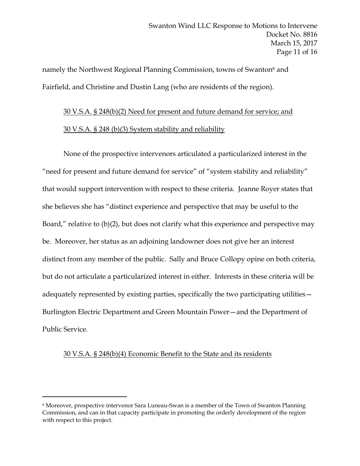namely the Northwest Regional Planning Commission, towns of Swanton<sup>6</sup> and Fairfield, and Christine and Dustin Lang (who are residents of the region).

# 30 V.S.A. § 248(b)(2) Need for present and future demand for service; and

## 30 V.S.A. § 248 (b)(3) System stability and reliability

None of the prospective intervenors articulated a particularized interest in the "need for present and future demand for service" of "system stability and reliability" that would support intervention with respect to these criteria. Jeanne Royer states that she believes she has "distinct experience and perspective that may be useful to the Board," relative to (b)(2), but does not clarify what this experience and perspective may be. Moreover, her status as an adjoining landowner does not give her an interest distinct from any member of the public. Sally and Bruce Collopy opine on both criteria, but do not articulate a particularized interest in either. Interests in these criteria will be adequately represented by existing parties, specifically the two participating utilities— Burlington Electric Department and Green Mountain Power—and the Department of Public Service.

## 30 V.S.A. § 248(b)(4) Economic Benefit to the State and its residents

 $\overline{a}$ 

<sup>6</sup> Moreover, prospective intervenor Sara Luneau-Swan is a member of the Town of Swanton Planning Commission, and can in that capacity participate in promoting the orderly development of the region with respect to this project.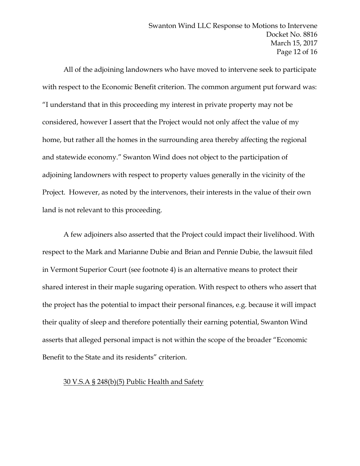All of the adjoining landowners who have moved to intervene seek to participate with respect to the Economic Benefit criterion. The common argument put forward was: "I understand that in this proceeding my interest in private property may not be considered, however I assert that the Project would not only affect the value of my home, but rather all the homes in the surrounding area thereby affecting the regional and statewide economy." Swanton Wind does not object to the participation of adjoining landowners with respect to property values generally in the vicinity of the Project. However, as noted by the intervenors, their interests in the value of their own land is not relevant to this proceeding.

A few adjoiners also asserted that the Project could impact their livelihood. With respect to the Mark and Marianne Dubie and Brian and Pennie Dubie, the lawsuit filed in Vermont Superior Court (see footnote 4) is an alternative means to protect their shared interest in their maple sugaring operation. With respect to others who assert that the project has the potential to impact their personal finances, e.g. because it will impact their quality of sleep and therefore potentially their earning potential, Swanton Wind asserts that alleged personal impact is not within the scope of the broader "Economic Benefit to the State and its residents" criterion.

#### 30 V.S.A § 248(b)(5) Public Health and Safety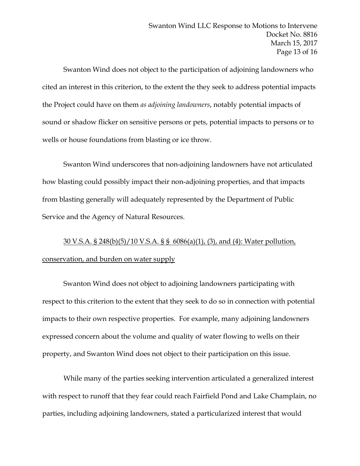Swanton Wind does not object to the participation of adjoining landowners who cited an interest in this criterion, to the extent the they seek to address potential impacts the Project could have on them *as adjoining landowners*, notably potential impacts of sound or shadow flicker on sensitive persons or pets, potential impacts to persons or to wells or house foundations from blasting or ice throw.

Swanton Wind underscores that non-adjoining landowners have not articulated how blasting could possibly impact their non-adjoining properties, and that impacts from blasting generally will adequately represented by the Department of Public Service and the Agency of Natural Resources.

# 30 V.S.A. § 248(b)(5)/10 V.S.A. § § 6086(a)(1), (3), and (4): Water pollution, conservation, and burden on water supply

Swanton Wind does not object to adjoining landowners participating with respect to this criterion to the extent that they seek to do so in connection with potential impacts to their own respective properties. For example, many adjoining landowners expressed concern about the volume and quality of water flowing to wells on their property, and Swanton Wind does not object to their participation on this issue.

While many of the parties seeking intervention articulated a generalized interest with respect to runoff that they fear could reach Fairfield Pond and Lake Champlain, no parties, including adjoining landowners, stated a particularized interest that would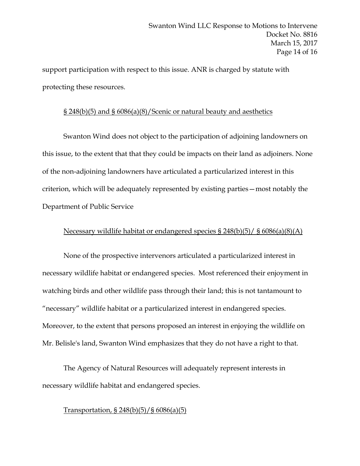support participation with respect to this issue. ANR is charged by statute with protecting these resources.

## § 248(b)(5) and § 6086(a)(8)/Scenic or natural beauty and aesthetics

Swanton Wind does not object to the participation of adjoining landowners on this issue, to the extent that that they could be impacts on their land as adjoiners. None of the non-adjoining landowners have articulated a particularized interest in this criterion, which will be adequately represented by existing parties—most notably the Department of Public Service

## Necessary wildlife habitat or endangered species § 248(b)(5)/ § 6086(a)(8)(A)

None of the prospective intervenors articulated a particularized interest in necessary wildlife habitat or endangered species. Most referenced their enjoyment in watching birds and other wildlife pass through their land; this is not tantamount to "necessary" wildlife habitat or a particularized interest in endangered species. Moreover, to the extent that persons proposed an interest in enjoying the wildlife on Mr. Belisle's land, Swanton Wind emphasizes that they do not have a right to that.

The Agency of Natural Resources will adequately represent interests in necessary wildlife habitat and endangered species.

## Transportation, § 248(b)(5)/§ 6086(a)(5)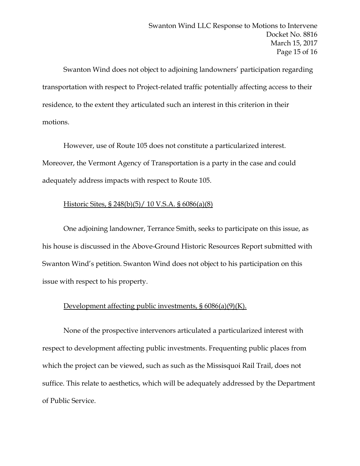Swanton Wind does not object to adjoining landowners' participation regarding transportation with respect to Project-related traffic potentially affecting access to their residence, to the extent they articulated such an interest in this criterion in their motions.

However, use of Route 105 does not constitute a particularized interest. Moreover, the Vermont Agency of Transportation is a party in the case and could adequately address impacts with respect to Route 105.

## Historic Sites, § 248(b)(5)/ 10 V.S.A. § 6086(a)(8)

One adjoining landowner, Terrance Smith, seeks to participate on this issue, as his house is discussed in the Above-Ground Historic Resources Report submitted with Swanton Wind's petition. Swanton Wind does not object to his participation on this issue with respect to his property.

## Development affecting public investments, § 6086(a)(9)(K).

None of the prospective intervenors articulated a particularized interest with respect to development affecting public investments. Frequenting public places from which the project can be viewed, such as such as the Missisquoi Rail Trail, does not suffice. This relate to aesthetics, which will be adequately addressed by the Department of Public Service.